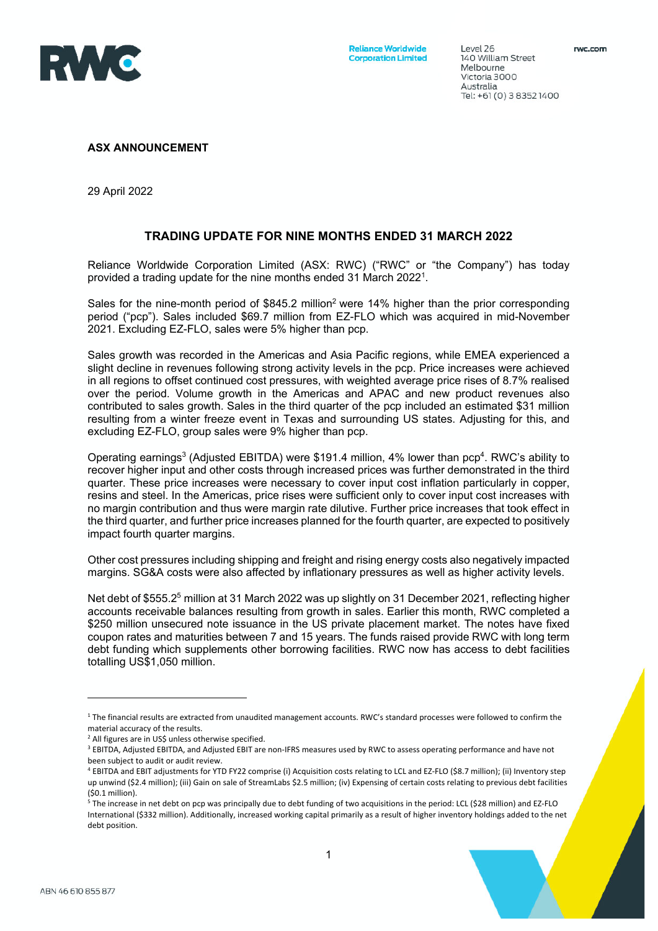

Level 26

Melbourne

Australia

Tel: +61 (0) 3 8352 1400

#### **ASX ANNOUNCEMENT**

29 April 2022

### **TRADING UPDATE FOR NINE MONTHS ENDED 31 MARCH 2022**

Reliance Worldwide Corporation Limited (ASX: RWC) ("RWC" or "the Company") has today provided a trading update for the nine months ended 31 March 2022<sup>1</sup>.

Sales for the nine-month period of \$845.2 million<sup>2</sup> were 14% higher than the prior corresponding period ("pcp"). Sales included \$69.7 million from EZ-FLO which was acquired in mid-November 2021. Excluding EZ-FLO, sales were 5% higher than pcp.

Sales growth was recorded in the Americas and Asia Pacific regions, while EMEA experienced a slight decline in revenues following strong activity levels in the pcp. Price increases were achieved in all regions to offset continued cost pressures, with weighted average price rises of 8.7% realised over the period. Volume growth in the Americas and APAC and new product revenues also contributed to sales growth. Sales in the third quarter of the pcp included an estimated \$31 million resulting from a winter freeze event in Texas and surrounding US states. Adjusting for this, and excluding EZ-FLO, group sales were 9% higher than pcp.

Operating earnings<sup>3</sup> (Adjusted EBITDA) were \$191.4 million, 4% lower than pcp<sup>4</sup>. RWC's ability to recover higher input and other costs through increased prices was further demonstrated in the third quarter. These price increases were necessary to cover input cost inflation particularly in copper, resins and steel. In the Americas, price rises were sufficient only to cover input cost increases with no margin contribution and thus were margin rate dilutive. Further price increases that took effect in the third quarter, and further price increases planned for the fourth quarter, are expected to positively impact fourth quarter margins.

Other cost pressures including shipping and freight and rising energy costs also negatively impacted margins. SG&A costs were also affected by inflationary pressures as well as higher activity levels.

Net debt of \$555.2<sup>5</sup> million at 31 March 2022 was up slightly on 31 December 2021, reflecting higher accounts receivable balances resulting from growth in sales. Earlier this month, RWC completed a \$250 million unsecured note issuance in the US private placement market. The notes have fixed coupon rates and maturities between 7 and 15 years. The funds raised provide RWC with long term debt funding which supplements other borrowing facilities. RWC now has access to debt facilities totalling US\$1,050 million.

<sup>5</sup> The increase in net debt on pcp was principally due to debt funding of two acquisitions in the period: LCL (\$28 million) and EZ-FLO International (\$332 million). Additionally, increased working capital primarily as a result of higher inventory holdings added to the net debt position.



 $1$  The financial results are extracted from unaudited management accounts. RWC's standard processes were followed to confirm the material accuracy of the results.

<sup>&</sup>lt;sup>2</sup> All figures are in US\$ unless otherwise specified.

<sup>&</sup>lt;sup>3</sup> EBITDA, Adjusted EBITDA, and Adjusted EBIT are non-IFRS measures used by RWC to assess operating performance and have not been subject to audit or audit review.

<sup>4</sup> EBITDA and EBIT adjustments for YTD FY22 comprise (i) Acquisition costs relating to LCL and EZ‐FLO (\$8.7 million); (ii) Inventory step up unwind (\$2.4 million); (iii) Gain on sale of StreamLabs \$2.5 million; (iv) Expensing of certain costs relating to previous debt facilities (\$0.1 million).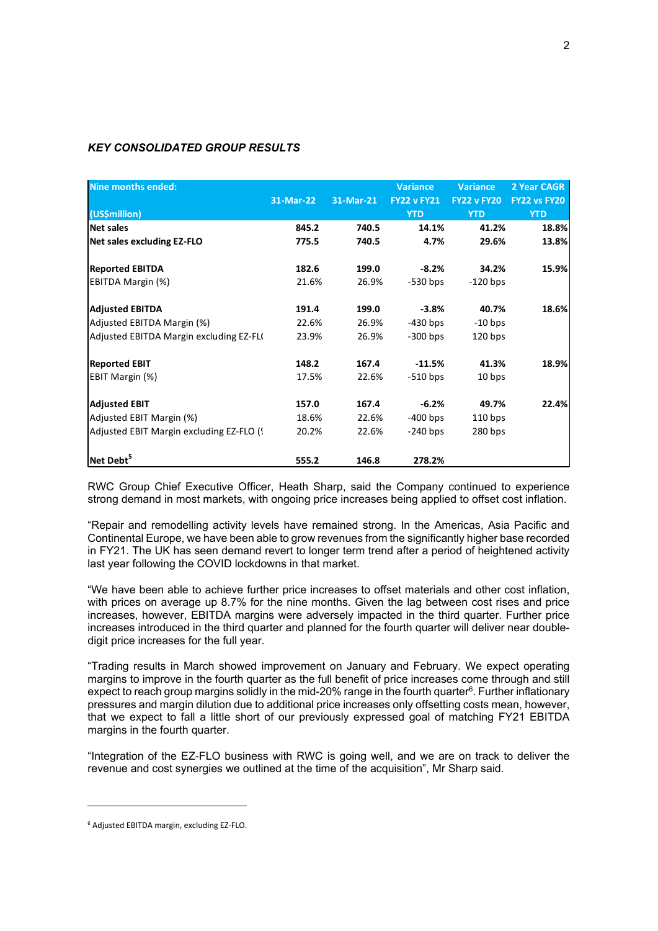### *KEY CONSOLIDATED GROUP RESULTS*

| Nine months ended:                        |           |           | <b>Variance</b>    | <b>Variance</b>    | 2 Year CAGR  |
|-------------------------------------------|-----------|-----------|--------------------|--------------------|--------------|
|                                           | 31-Mar-22 | 31-Mar-21 | <b>FY22 v FY21</b> | <b>FY22 v FY20</b> | FY22 vs FY20 |
| (US\$million)                             |           |           | <b>YTD</b>         | <b>YTD</b>         | <b>YTD</b>   |
| <b>Net sales</b>                          | 845.2     | 740.5     | 14.1%              | 41.2%              | 18.8%        |
| Net sales excluding EZ-FLO                | 775.5     | 740.5     | 4.7%               | 29.6%              | 13.8%        |
| <b>Reported EBITDA</b>                    | 182.6     | 199.0     | $-8.2%$            | 34.2%              | 15.9%        |
| EBITDA Margin (%)                         | 21.6%     | 26.9%     | $-530$ bps         | $-120$ bps         |              |
| <b>Adjusted EBITDA</b>                    | 191.4     | 199.0     | -3.8%              | 40.7%              | 18.6%        |
| Adjusted EBITDA Margin (%)                | 22.6%     | 26.9%     | -430 bps           | $-10$ bps          |              |
| Adjusted EBITDA Margin excluding EZ-FL(   | 23.9%     | 26.9%     | $-300$ bps         | $120$ bps          |              |
| <b>Reported EBIT</b>                      | 148.2     | 167.4     | $-11.5%$           | 41.3%              | 18.9%        |
| EBIT Margin (%)                           | 17.5%     | 22.6%     | $-510$ bps         | 10 bps             |              |
| <b>Adjusted EBIT</b>                      | 157.0     | 167.4     | $-6.2%$            | 49.7%              | 22.4%        |
| Adjusted EBIT Margin (%)                  | 18.6%     | 22.6%     | $-400$ bps         | $110$ bps          |              |
| Adjusted EBIT Margin excluding EZ-FLO (9) | 20.2%     | 22.6%     | $-240$ bps         | $280$ bps          |              |
| $\sf{Net}\, \sf{Debt}^3$                  | 555.2     | 146.8     | 278.2%             |                    |              |

RWC Group Chief Executive Officer, Heath Sharp, said the Company continued to experience strong demand in most markets, with ongoing price increases being applied to offset cost inflation.

"Repair and remodelling activity levels have remained strong. In the Americas, Asia Pacific and Continental Europe, we have been able to grow revenues from the significantly higher base recorded in FY21. The UK has seen demand revert to longer term trend after a period of heightened activity last year following the COVID lockdowns in that market.

"We have been able to achieve further price increases to offset materials and other cost inflation, with prices on average up 8.7% for the nine months. Given the lag between cost rises and price increases, however, EBITDA margins were adversely impacted in the third quarter. Further price increases introduced in the third quarter and planned for the fourth quarter will deliver near doubledigit price increases for the full year.

"Trading results in March showed improvement on January and February. We expect operating margins to improve in the fourth quarter as the full benefit of price increases come through and still expect to reach group margins solidly in the mid-20% range in the fourth quarter $6$ . Further inflationary pressures and margin dilution due to additional price increases only offsetting costs mean, however, that we expect to fall a little short of our previously expressed goal of matching FY21 EBITDA margins in the fourth quarter.

"Integration of the EZ-FLO business with RWC is going well, and we are on track to deliver the revenue and cost synergies we outlined at the time of the acquisition", Mr Sharp said.

<sup>6</sup> Adjusted EBITDA margin, excluding EZ‐FLO.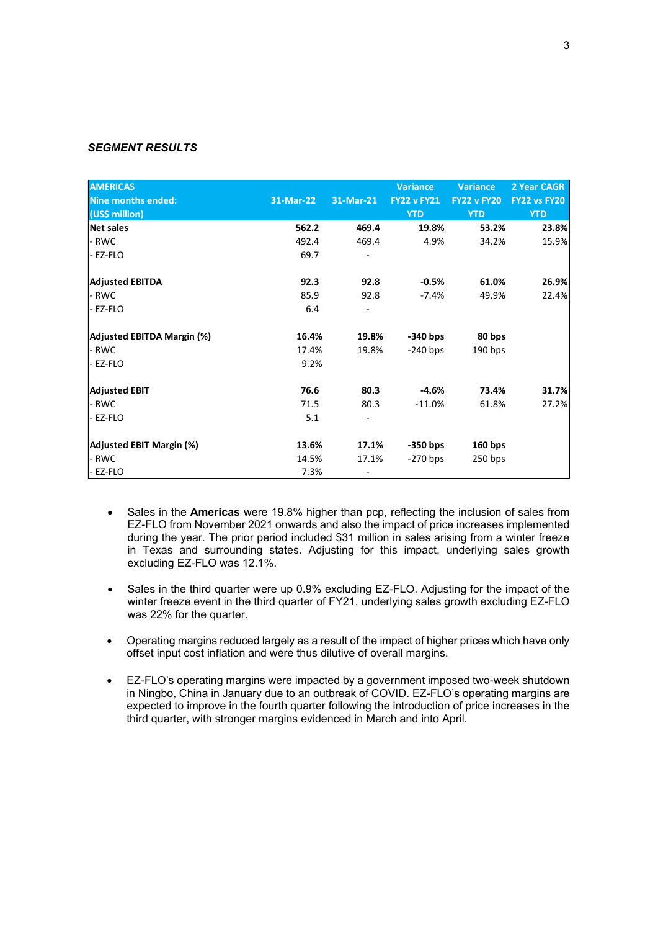#### *SEGMENT RESULTS*

| <b>AMERICAS</b><br><b>Nine months ended:</b><br>(US\$ million) | 31-Mar-22 | 31-Mar-21 | <b>Variance</b><br><b>FY22 v FY21</b><br><b>YTD</b> | Variance<br><b>FY22 v FY20</b><br><b>YTD</b> | 2 Year CAGR<br><b>FY22 vs FY20</b><br><b>YTD</b> |
|----------------------------------------------------------------|-----------|-----------|-----------------------------------------------------|----------------------------------------------|--------------------------------------------------|
| Net sales                                                      | 562.2     | 469.4     | 19.8%                                               | 53.2%                                        | 23.8%                                            |
| - RWC                                                          | 492.4     | 469.4     | 4.9%                                                | 34.2%                                        | 15.9%                                            |
| - EZ-FLO                                                       | 69.7      |           |                                                     |                                              |                                                  |
| <b>Adjusted EBITDA</b>                                         | 92.3      | 92.8      | $-0.5%$                                             | 61.0%                                        | 26.9%                                            |
| - RWC                                                          | 85.9      | 92.8      | $-7.4%$                                             | 49.9%                                        | 22.4%                                            |
| - EZ-FLO                                                       | 6.4       |           |                                                     |                                              |                                                  |
| Adjusted EBITDA Margin (%)                                     | 16.4%     | 19.8%     | $-340$ bps                                          | 80 bps                                       |                                                  |
| - RWC                                                          | 17.4%     | 19.8%     | $-240$ bps                                          | 190 bps                                      |                                                  |
| - EZ-FLO                                                       | 9.2%      |           |                                                     |                                              |                                                  |
| <b>Adjusted EBIT</b>                                           | 76.6      | 80.3      | $-4.6%$                                             | 73.4%                                        | 31.7%                                            |
| - RWC                                                          | 71.5      | 80.3      | $-11.0%$                                            | 61.8%                                        | 27.2%                                            |
| - EZ-FLO                                                       | 5.1       |           |                                                     |                                              |                                                  |
| Adjusted EBIT Margin (%)                                       | 13.6%     | 17.1%     | $-350$ bps                                          | $160$ bps                                    |                                                  |
| - RWC                                                          | 14.5%     | 17.1%     | $-270$ bps                                          | $250$ bps                                    |                                                  |
| EZ-FLO                                                         | 7.3%      |           |                                                     |                                              |                                                  |

- Sales in the **Americas** were 19.8% higher than pcp, reflecting the inclusion of sales from EZ-FLO from November 2021 onwards and also the impact of price increases implemented during the year. The prior period included \$31 million in sales arising from a winter freeze in Texas and surrounding states. Adjusting for this impact, underlying sales growth excluding EZ-FLO was 12.1%.
- Sales in the third quarter were up 0.9% excluding EZ-FLO. Adjusting for the impact of the winter freeze event in the third quarter of FY21, underlying sales growth excluding EZ-FLO was 22% for the quarter.
- Operating margins reduced largely as a result of the impact of higher prices which have only offset input cost inflation and were thus dilutive of overall margins.
- EZ-FLO's operating margins were impacted by a government imposed two-week shutdown in Ningbo, China in January due to an outbreak of COVID. EZ-FLO's operating margins are expected to improve in the fourth quarter following the introduction of price increases in the third quarter, with stronger margins evidenced in March and into April.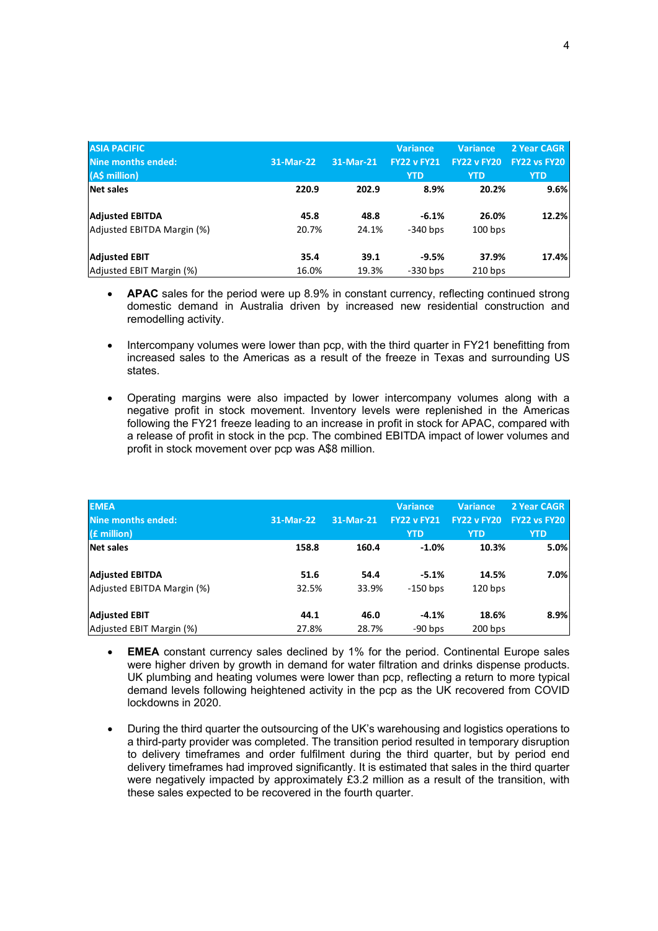| <b>ASIA PACIFIC</b>        |           |           | <b>Variance</b>    | <b>Variance</b>    | 2 Year CAGR         |
|----------------------------|-----------|-----------|--------------------|--------------------|---------------------|
| Nine months ended:         | 31-Mar-22 | 31-Mar-21 | <b>FY22 v FY21</b> | <b>FY22 v FY20</b> | <b>FY22 vs FY20</b> |
| (A\$ million)              |           |           | <b>YTD</b>         | <b>YTD</b>         | <b>YTD</b>          |
| Net sales                  | 220.9     | 202.9     | 8.9%               | 20.2%              | 9.6%                |
|                            |           |           |                    |                    |                     |
| <b>Adjusted EBITDA</b>     | 45.8      | 48.8      | $-6.1%$            | 26.0%              | 12.2%               |
| Adjusted EBITDA Margin (%) | 20.7%     | 24.1%     | $-340$ bps         | $100$ bps          |                     |
|                            |           |           |                    |                    |                     |
| <b>Adjusted EBIT</b>       | 35.4      | 39.1      | $-9.5%$            | 37.9%              | 17.4%               |
| Adjusted EBIT Margin (%)   | 16.0%     | 19.3%     | $-330$ bps         | $210$ bps          |                     |

- **APAC** sales for the period were up 8.9% in constant currency, reflecting continued strong domestic demand in Australia driven by increased new residential construction and remodelling activity.
- Intercompany volumes were lower than pcp, with the third quarter in FY21 benefitting from increased sales to the Americas as a result of the freeze in Texas and surrounding US states.
- Operating margins were also impacted by lower intercompany volumes along with a negative profit in stock movement. Inventory levels were replenished in the Americas following the FY21 freeze leading to an increase in profit in stock for APAC, compared with a release of profit in stock in the pcp. The combined EBITDA impact of lower volumes and profit in stock movement over pcp was A\$8 million.

| <b>EMEA</b><br>Nine months ended:<br>$(f$ million) | 31-Mar-22 | 31-Mar-21 | <b>Variance</b><br><b>FY22 v FY21</b><br><b>YTD</b> | <b>Variance</b><br><b>FY22 v FY20</b><br><b>YTD</b> | 2 Year CAGR<br>FY22 vs FY20<br><b>YTD</b> |
|----------------------------------------------------|-----------|-----------|-----------------------------------------------------|-----------------------------------------------------|-------------------------------------------|
| Net sales                                          | 158.8     | 160.4     | $-1.0%$                                             | 10.3%                                               | 5.0%                                      |
| <b>Adjusted EBITDA</b>                             | 51.6      | 54.4      | $-5.1%$                                             | 14.5%                                               | 7.0%                                      |
| Adjusted EBITDA Margin (%)                         | 32.5%     | 33.9%     | $-150$ bps                                          | $120$ bps                                           |                                           |
| <b>Adjusted EBIT</b>                               | 44.1      | 46.0      | $-4.1%$                                             | 18.6%                                               | 8.9%                                      |
| Adjusted EBIT Margin (%)                           | 27.8%     | 28.7%     | $-90$ bps                                           | $200$ bps                                           |                                           |

- **EMEA** constant currency sales declined by 1% for the period. Continental Europe sales were higher driven by growth in demand for water filtration and drinks dispense products. UK plumbing and heating volumes were lower than pcp, reflecting a return to more typical demand levels following heightened activity in the pcp as the UK recovered from COVID lockdowns in 2020.
- During the third quarter the outsourcing of the UK's warehousing and logistics operations to a third-party provider was completed. The transition period resulted in temporary disruption to delivery timeframes and order fulfilment during the third quarter, but by period end delivery timeframes had improved significantly. It is estimated that sales in the third quarter were negatively impacted by approximately £3.2 million as a result of the transition, with these sales expected to be recovered in the fourth quarter.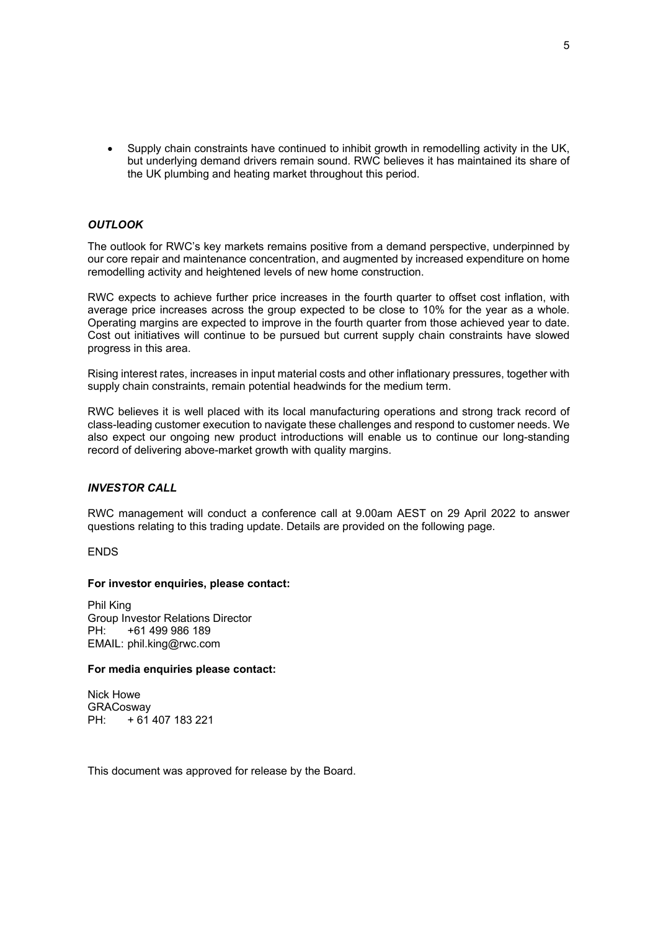Supply chain constraints have continued to inhibit growth in remodelling activity in the UK, but underlying demand drivers remain sound. RWC believes it has maintained its share of the UK plumbing and heating market throughout this period.

### *OUTLOOK*

The outlook for RWC's key markets remains positive from a demand perspective, underpinned by our core repair and maintenance concentration, and augmented by increased expenditure on home remodelling activity and heightened levels of new home construction.

RWC expects to achieve further price increases in the fourth quarter to offset cost inflation, with average price increases across the group expected to be close to 10% for the year as a whole. Operating margins are expected to improve in the fourth quarter from those achieved year to date. Cost out initiatives will continue to be pursued but current supply chain constraints have slowed progress in this area.

Rising interest rates, increases in input material costs and other inflationary pressures, together with supply chain constraints, remain potential headwinds for the medium term.

RWC believes it is well placed with its local manufacturing operations and strong track record of class-leading customer execution to navigate these challenges and respond to customer needs. We also expect our ongoing new product introductions will enable us to continue our long-standing record of delivering above-market growth with quality margins.

#### *INVESTOR CALL*

RWC management will conduct a conference call at 9.00am AEST on 29 April 2022 to answer questions relating to this trading update. Details are provided on the following page.

ENDS

#### **For investor enquiries, please contact:**

Phil King Group Investor Relations Director PH: +61 499 986 189 EMAIL: phil.king@rwc.com

#### **For media enquiries please contact:**

Nick Howe **GRACosway** PH: + 61 407 183 221

This document was approved for release by the Board.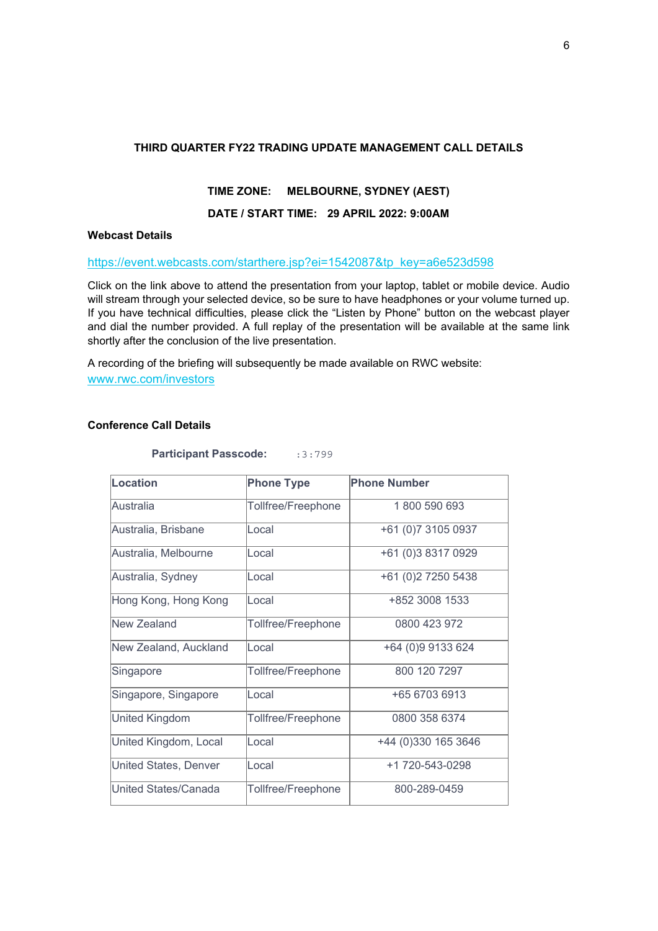### **THIRD QUARTER FY22 TRADING UPDATE MANAGEMENT CALL DETAILS**

### **TIME ZONE: MELBOURNE, SYDNEY (AEST)**

### **DATE / START TIME: 29 APRIL 2022: 9:00AM**

### **Webcast Details**

### https://event.webcasts.com/starthere.jsp?ei=1542087&tp\_key=a6e523d598

Click on the link above to attend the presentation from your laptop, tablet or mobile device. Audio will stream through your selected device, so be sure to have headphones or your volume turned up. If you have technical difficulties, please click the "Listen by Phone" button on the webcast player and dial the number provided. A full replay of the presentation will be available at the same link shortly after the conclusion of the live presentation.

A recording of the briefing will subsequently be made available on RWC website: www.rwc.com/investors

### **Conference Call Details**

**Participant Passcode:** :3:799

| Location                     | <b>Phone Type</b>  | <b>Phone Number</b> |
|------------------------------|--------------------|---------------------|
| Australia                    | Tollfree/Freephone | 1800 590 693        |
| Australia, Brisbane          | Local              | +61 (0)7 3105 0937  |
| Australia, Melbourne         | Local              | +61 (0)3 8317 0929  |
| Australia, Sydney            | Local              | +61 (0)2 7250 5438  |
| Hong Kong, Hong Kong         | Local              | +852 3008 1533      |
| New Zealand                  | Tollfree/Freephone | 0800 423 972        |
| New Zealand, Auckland        | Local              | +64 (0)9 9133 624   |
| Singapore                    | Tollfree/Freephone | 800 120 7297        |
| Singapore, Singapore         | Local              | +65 6703 6913       |
| United Kingdom               | Tollfree/Freephone | 0800 358 6374       |
| United Kingdom, Local        | Local              | +44 (0)330 165 3646 |
| <b>United States, Denver</b> | Local              | +1 720-543-0298     |
| United States/Canada         | Tollfree/Freephone | 800-289-0459        |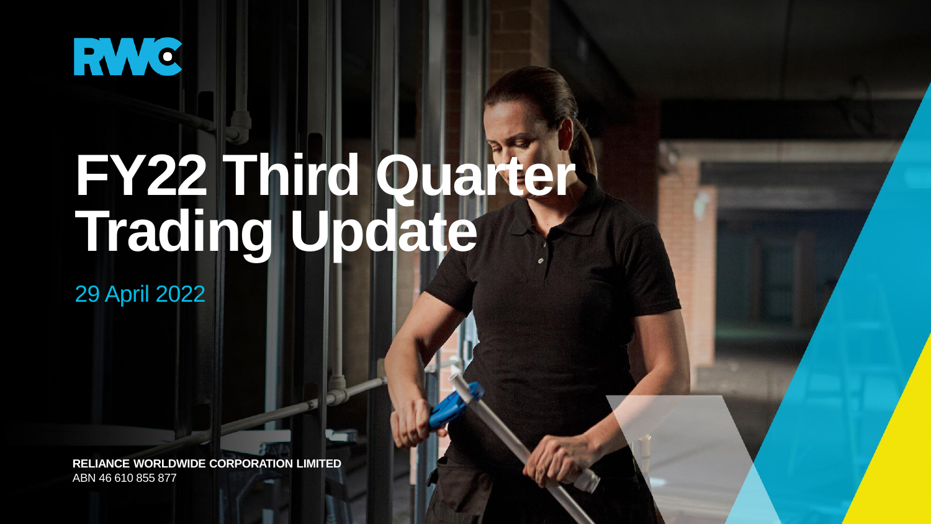

# **FY22 Third Quarter Trading Update**

29 April 2022

**RELIANCE WORLDWIDE CORPORATION LIMITED** ABN 46 610 855 877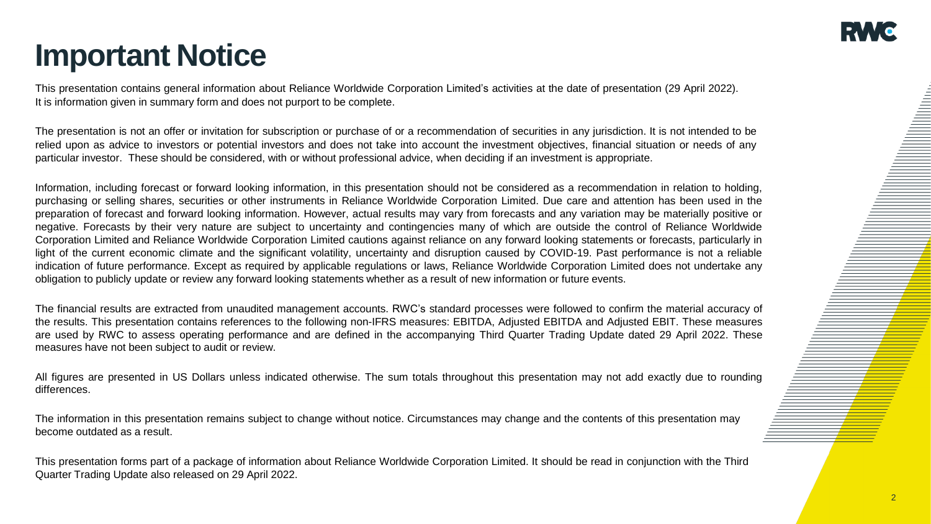# **Important Notice**

This presentation contains general information about Reliance Worldwide Corporation Limited's activities at the date of presentation (29 April 2022). It is information given in summary form and does not purport to be complete.

The presentation is not an offer or invitation for subscription or purchase of or a recommendation of securities in any jurisdiction. It is not intended to be relied upon as advice to investors or potential investors and does not take into account the investment objectives, financial situation or needs of any particular investor. These should be considered, with or without professional advice, when deciding if an investment is appropriate.

Information, including forecast or forward looking information, in this presentation should not be considered as a recommendation in relation to holding, purchasing or selling shares, securities or other instruments in Reliance Worldwide Corporation Limited. Due care and attention has been used in the preparation of forecast and forward looking information. However, actual results may vary from forecasts and any variation may be materially positive or negative. Forecasts by their very nature are subject to uncertainty and contingencies many of which are outside the control of Reliance Worldwide Corporation Limited and Reliance Worldwide Corporation Limited cautions against reliance on any forward looking statements or forecasts, particularly in light of the current economic climate and the significant volatility, uncertainty and disruption caused by COVID-19. Past performance is not a reliable indication of future performance. Except as required by applicable regulations or laws, Reliance Worldwide Corporation Limited does not undertake any obligation to publicly update or review any forward looking statements whether as a result of new information or future events.

The financial results are extracted from unaudited management accounts. RWC's standard processes were followed to confirm the material accuracy of the results. This presentation contains references to the following non-IFRS measures: EBITDA, Adjusted EBITDA and Adjusted EBIT. These measures are used by RWC to assess operating performance and are defined in the accompanying Third Quarter Trading Update dated 29 April 2022. These measures have not been subject to audit or review.

All figures are presented in US Dollars unless indicated otherwise. The sum totals throughout this presentation may not add exactly due to rounding differences.

The information in this presentation remains subject to change without notice. Circumstances may change and the contents of this presentation may become outdated as a result.

This presentation forms part of a package of information about Reliance Worldwide Corporation Limited. It should be read in conjunction with the Third Quarter Trading Update also released on 29 April 2022.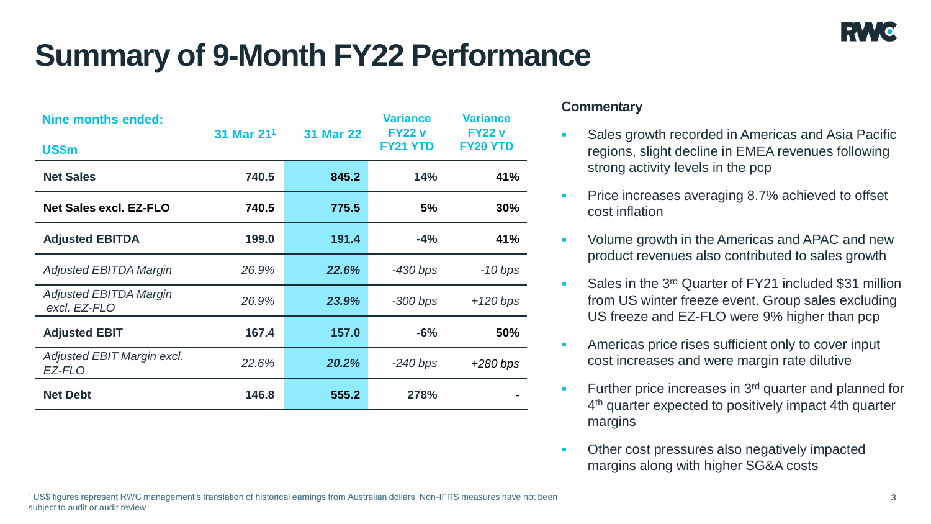# **Summary of 9-Month FY22 Performance**

| <b>Nine months ended:</b>                     | 31 Mar 21 <sup>1</sup> | <b>31 Mar 22</b> | <b>Variance</b><br><b>FY22 v</b> | <b>Variance</b><br><b>FY22 v</b><br><b>FY20 YTD</b> |  |
|-----------------------------------------------|------------------------|------------------|----------------------------------|-----------------------------------------------------|--|
| US\$m                                         |                        |                  | <b>FY21 YTD</b>                  |                                                     |  |
| <b>Net Sales</b>                              | 740.5                  | 845.2            | 14%                              | 41%                                                 |  |
| <b>Net Sales excl. EZ-FLO</b>                 | 740.5                  | 775.5            | 5%                               | 30%                                                 |  |
| <b>Adjusted EBITDA</b>                        | 199.0                  | 191.4            | $-4%$                            | 41%                                                 |  |
| <b>Adjusted EBITDA Margin</b>                 | 26.9%                  | 22.6%            | $-430$ bps                       | $-10$ bps                                           |  |
| <b>Adjusted EBITDA Margin</b><br>excl. EZ-FLO | 26.9%                  | 23.9%            | $-300$ bps                       | $+120$ bps                                          |  |
| <b>Adjusted EBIT</b>                          | 167.4                  | 157.0            | $-6%$                            | 50%                                                 |  |
| Adjusted EBIT Margin excl.<br>EZ-FLO          | 22.6%                  | 20.2%            | $-240$ bps                       | $+280$ bps                                          |  |
| <b>Net Debt</b>                               | 146.8                  | 555.2            | 278%                             |                                                     |  |

- **Sales growth recorded in Americas and Asia Pacific** regions, slight decline in EMEA revenues following strong activity levels in the pcp
- **Price increases averaging 8.7% achieved to offset** cost inflation
- **Volume growth in the Americas and APAC and new** product revenues also contributed to sales growth
- Sales in the 3<sup>rd</sup> Quarter of FY21 included \$31 million from US winter freeze event. Group sales excluding US freeze and EZ-FLO were 9% higher than pcp
- **EXECUTE:** Americas price rises sufficient only to cover input cost increases and were margin rate dilutive
- $\blacksquare$  Further price increases in 3<sup>rd</sup> quarter and planned for 4<sup>th</sup> quarter expected to positively impact 4th quarter margins
- **Other cost pressures also negatively impacted** margins along with higher SG&A costs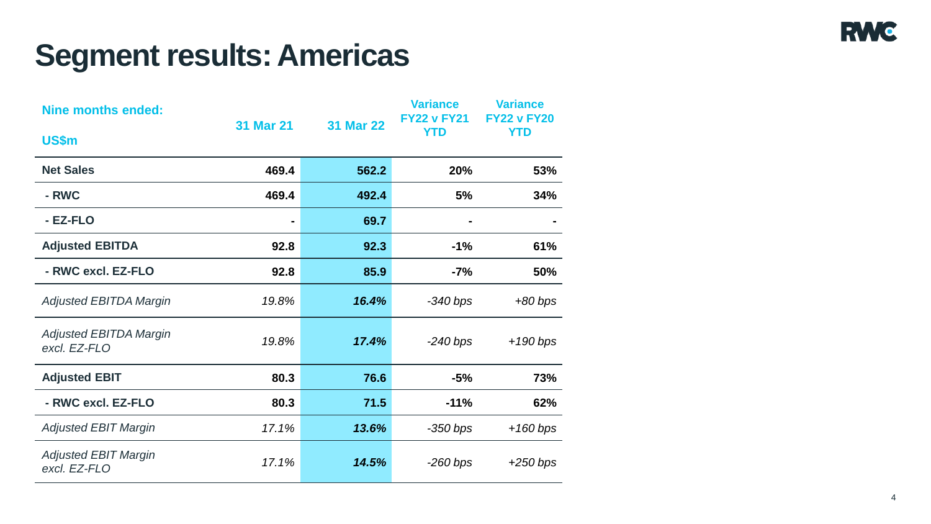# **Segment results: Americas**

| <b>Nine months ended:</b>                     | <b>31 Mar 21</b> | <b>31 Mar 22</b> | <b>Variance</b><br><b>FY22 v FY21</b> | <b>Variance</b><br><b>FY22 v FY20</b> |
|-----------------------------------------------|------------------|------------------|---------------------------------------|---------------------------------------|
| US\$m                                         |                  |                  | <b>YTD</b>                            | <b>YTD</b>                            |
| <b>Net Sales</b>                              | 469.4            | 562.2            | 20%                                   | 53%                                   |
| - RWC                                         | 469.4            | 492.4            | 5%                                    | 34%                                   |
| - EZ-FLO                                      |                  | 69.7             |                                       |                                       |
| <b>Adjusted EBITDA</b>                        | 92.8             | 92.3             | $-1\%$                                | 61%                                   |
| - RWC excl. EZ-FLO                            | 92.8             | 85.9             | $-7%$                                 | 50%                                   |
| <b>Adjusted EBITDA Margin</b>                 | 19.8%            | 16.4%            | $-340$ bps                            | $+80$ bps                             |
| <b>Adjusted EBITDA Margin</b><br>excl. EZ-FLO | 19.8%            | 17.4%            | $-240 bps$                            | $+190$ bps                            |
| <b>Adjusted EBIT</b>                          | 80.3             | 76.6             | $-5%$                                 | 73%                                   |
| - RWC excl. EZ-FLO                            | 80.3             | 71.5             | $-11%$                                | 62%                                   |
| <b>Adjusted EBIT Margin</b>                   | 17.1%            | 13.6%            | $-350$ bps                            | $+160 bps$                            |
| <b>Adjusted EBIT Margin</b><br>excl. EZ-FLO   | 17.1%            | 14.5%            | $-260 bps$                            | $+250$ bps                            |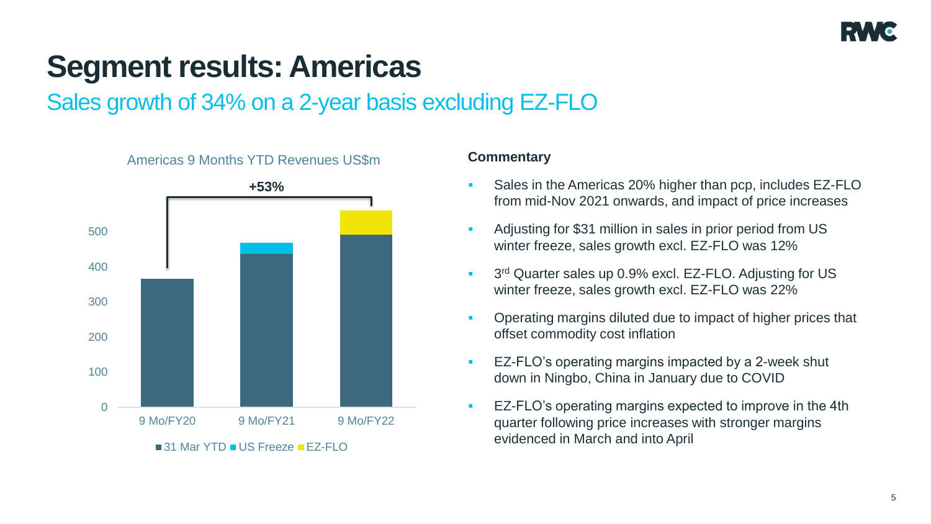

# **Segment results: Americas**

Sales growth of 34% on a 2-year basis excluding EZ-FLO



- Sales in the Americas 20% higher than pcp, includes EZ-FLO from mid-Nov 2021 onwards, and impact of price increases
- Adjusting for \$31 million in sales in prior period from US winter freeze, sales growth excl. EZ-FLO was 12%
- **3**<sup>rd</sup> Quarter sales up 0.9% excl. EZ-FLO. Adjusting for US winter freeze, sales growth excl. EZ-FLO was 22%
- Operating margins diluted due to impact of higher prices that offset commodity cost inflation
- **EZ-FLO's operating margins impacted by a 2-week shut** down in Ningbo, China in January due to COVID
- EZ-FLO's operating margins expected to improve in the 4th quarter following price increases with stronger margins evidenced in March and into April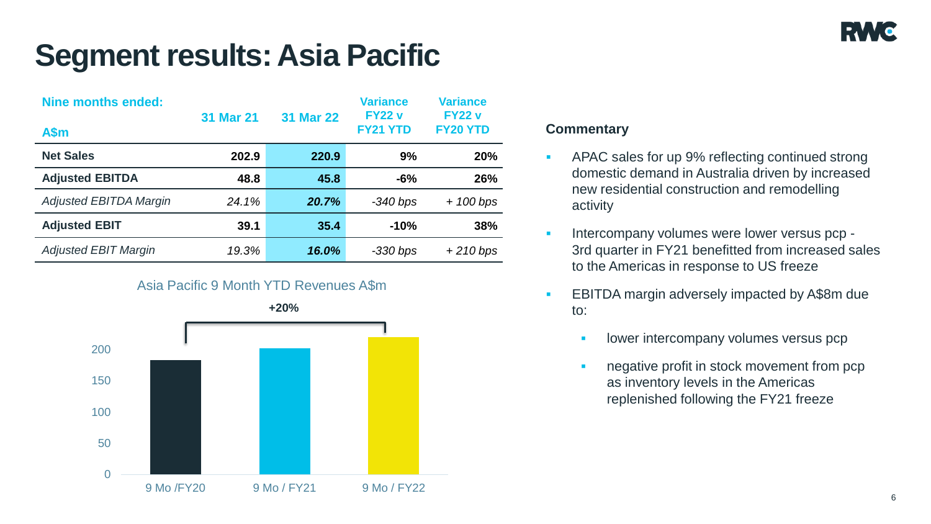# **Segment results: Asia Pacific**

| <b>Nine months ended:</b><br>A\$m | <b>31 Mar 21</b> | <b>31 Mar 22</b> | <b>Variance</b><br><b>FY22 v</b><br><b>FY21 YTD</b> | <b>Variance</b><br><b>FY22 v</b><br><b>FY20 YTD</b> |
|-----------------------------------|------------------|------------------|-----------------------------------------------------|-----------------------------------------------------|
| <b>Net Sales</b>                  | 202.9            | 220.9            | 9%                                                  | 20%                                                 |
| <b>Adjusted EBITDA</b>            | 48.8             | 45.8             | $-6%$                                               | 26%                                                 |
| <b>Adjusted EBITDA Margin</b>     | 24.1%            | 20.7%            | $-340$ bps                                          | $+ 100$ bps                                         |
| <b>Adjusted EBIT</b>              | 39.1             | 35.4             | $-10%$                                              | 38%                                                 |
| <b>Adjusted EBIT Margin</b>       | 19.3%            | 16.0%            | $-330$ bps                                          | $+210$ bps                                          |

# Asia Pacific 9 Month YTD Revenues A\$m



- APAC sales for up 9% reflecting continued strong domestic demand in Australia driven by increased new residential construction and remodelling activity
- Intercompany volumes were lower versus pcp -3rd quarter in FY21 benefitted from increased sales to the Americas in response to US freeze
- **EBITDA margin adversely impacted by A\$8m due** to:
	- lower intercompany volumes versus pcp
	- negative profit in stock movement from pcp as inventory levels in the Americas replenished following the FY21 freeze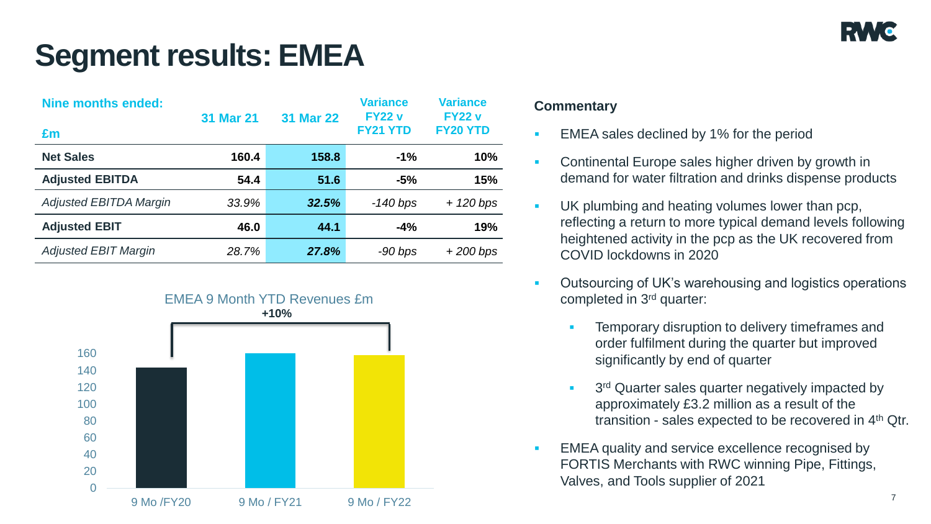# **Segment results: EMEA**

| <b>Nine months ended:</b><br>£m | <b>31 Mar 21</b> | <b>31 Mar 22</b> | <b>Variance</b><br><b>FY22 v</b><br><b>FY21 YTD</b> | <b>Variance</b><br><b>FY22 v</b><br><b>FY20 YTD</b> |
|---------------------------------|------------------|------------------|-----------------------------------------------------|-----------------------------------------------------|
| <b>Net Sales</b>                | 160.4            | 158.8            | $-1%$                                               | 10%                                                 |
| <b>Adjusted EBITDA</b>          | 54.4             | 51.6             | $-5%$                                               | 15%                                                 |
| <b>Adjusted EBITDA Margin</b>   | 33.9%            | 32.5%            | $-140$ bps                                          | $+ 120$ bps                                         |
| <b>Adjusted EBIT</b>            | 46.0             | 44.1             | $-4%$                                               | 19%                                                 |
| <b>Adjusted EBIT Margin</b>     | 28.7%            | 27.8%            | $-90$ bps                                           | $+200$ bps                                          |



- EMEA sales declined by 1% for the period
- Continental Europe sales higher driven by growth in demand for water filtration and drinks dispense products
- UK plumbing and heating volumes lower than pcp, reflecting a return to more typical demand levels following heightened activity in the pcp as the UK recovered from COVID lockdowns in 2020
- Outsourcing of UK's warehousing and logistics operations completed in 3rd quarter:
	- Temporary disruption to delivery timeframes and order fulfilment during the quarter but improved significantly by end of quarter
	- **3<sup>rd</sup> Quarter sales quarter negatively impacted by** approximately £3.2 million as a result of the transition - sales expected to be recovered in 4th Qtr.
- EMEA quality and service excellence recognised by FORTIS Merchants with RWC winning Pipe, Fittings, Valves, and Tools supplier of 2021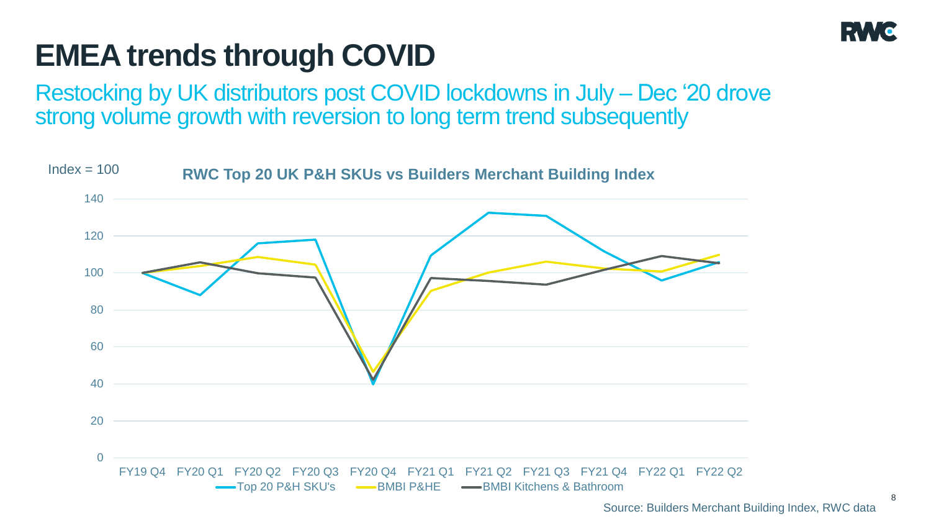

# **EMEA trends through COVID**

Restocking by UK distributors post COVID lockdowns in July – Dec '20 drove strong volume growth with reversion to long term trend subsequently

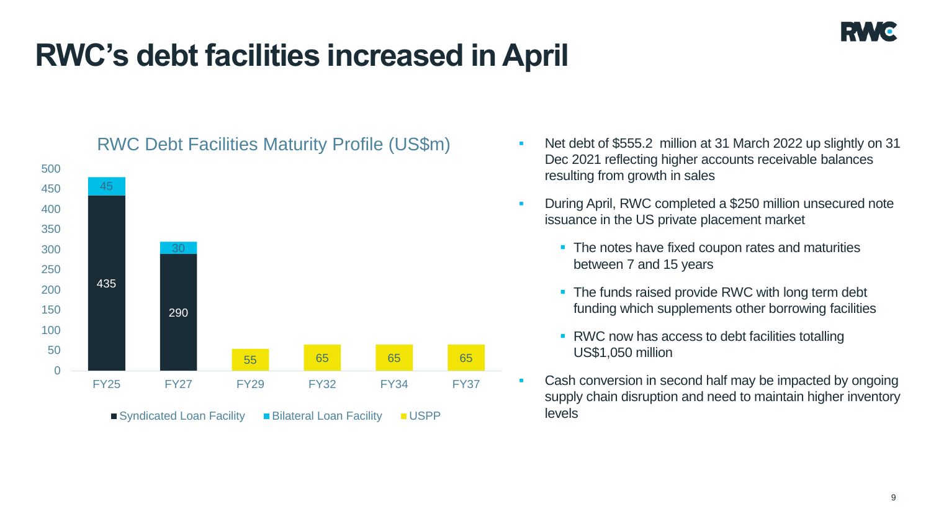# **RWC's debt facilities increased in April**



# RWC Debt Facilities Maturity Profile (US\$m)

- Net debt of \$555.2 million at 31 March 2022 up slightly on 31 Dec 2021 reflecting higher accounts receivable balances resulting from growth in sales
- **During April, RWC completed a \$250 million unsecured note** issuance in the US private placement market
	- The notes have fixed coupon rates and maturities between 7 and 15 years
	- The funds raised provide RWC with long term debt funding which supplements other borrowing facilities
	- RWC now has access to debt facilities totalling US\$1,050 million
- Cash conversion in second half may be impacted by ongoing supply chain disruption and need to maintain higher inventory levels